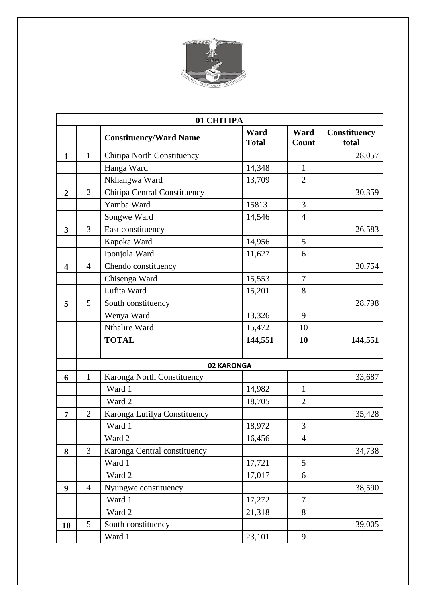

|                         | 01 CHITIPA     |                                     |                      |                |                              |  |  |
|-------------------------|----------------|-------------------------------------|----------------------|----------------|------------------------------|--|--|
|                         |                | <b>Constituency/Ward Name</b>       | Ward<br><b>Total</b> | Ward<br>Count  | <b>Constituency</b><br>total |  |  |
| $\mathbf{1}$            | $\mathbf{1}$   | <b>Chitipa North Constituency</b>   |                      |                | 28,057                       |  |  |
|                         |                | Hanga Ward                          | 14,348               | $\mathbf{1}$   |                              |  |  |
|                         |                | Nkhangwa Ward                       | 13,709               | $\overline{2}$ |                              |  |  |
| $\overline{2}$          | $\overline{2}$ | <b>Chitipa Central Constituency</b> |                      |                | 30,359                       |  |  |
|                         |                | Yamba Ward                          | 15813                | 3              |                              |  |  |
|                         |                | Songwe Ward                         | 14,546               | $\overline{4}$ |                              |  |  |
| 3                       | 3              | East constituency                   |                      |                | 26,583                       |  |  |
|                         |                | Kapoka Ward                         | 14,956               | 5              |                              |  |  |
|                         |                | Iponjola Ward                       | 11,627               | 6              |                              |  |  |
| $\overline{\mathbf{4}}$ | $\overline{4}$ | Chendo constituency                 |                      |                | 30,754                       |  |  |
|                         |                | Chisenga Ward                       | 15,553               | $\overline{7}$ |                              |  |  |
|                         |                | Lufita Ward                         | 15,201               | 8              |                              |  |  |
| 5                       | 5              | South constituency                  |                      |                | 28,798                       |  |  |
|                         |                | Wenya Ward                          | 13,326               | 9              |                              |  |  |
|                         |                | Nthalire Ward                       | 15,472               | 10             |                              |  |  |
|                         |                | <b>TOTAL</b>                        | 144,551              | 10             | 144,551                      |  |  |
|                         |                |                                     |                      |                |                              |  |  |
|                         |                |                                     | 02 KARONGA           |                |                              |  |  |
| 6                       | $\mathbf{1}$   | Karonga North Constituency          |                      |                | 33,687                       |  |  |
|                         |                | Ward 1                              | 14,982               | $\mathbf{1}$   |                              |  |  |
|                         |                | Ward 2                              | 18,705               | $\overline{2}$ |                              |  |  |
| $\overline{7}$          | $\overline{2}$ | Karonga Lufilya Constituency        |                      |                | 35,428                       |  |  |
|                         |                | Ward 1                              | 18,972               | 3              |                              |  |  |
|                         |                | Ward 2                              | 16,456               | $\overline{4}$ |                              |  |  |
| 8                       | 3              | Karonga Central constituency        |                      |                | 34,738                       |  |  |
|                         |                | Ward 1                              | 17,721               | 5              |                              |  |  |
|                         |                | Ward 2                              | 17,017               | 6              |                              |  |  |
| 9                       | $\overline{4}$ | Nyungwe constituency                |                      |                | 38,590                       |  |  |
|                         |                | Ward 1                              | 17,272               | $\overline{7}$ |                              |  |  |
|                         |                | Ward 2                              | 21,318               | 8              |                              |  |  |
| 10                      | 5              | South constituency                  |                      |                | 39,005                       |  |  |
|                         |                | Ward 1                              | 23,101               | 9              |                              |  |  |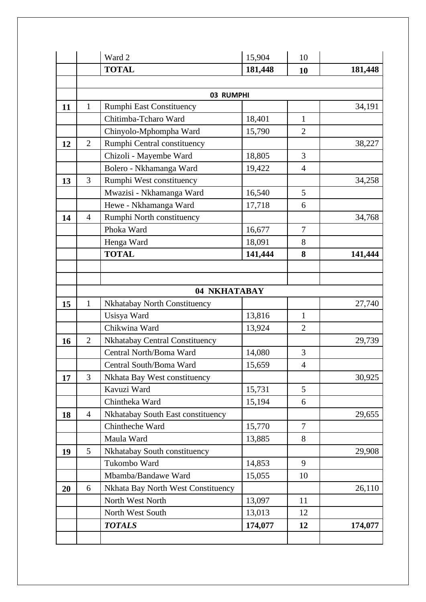|    |                | Ward 2                                | 15,904  | 10             |         |
|----|----------------|---------------------------------------|---------|----------------|---------|
|    |                | <b>TOTAL</b>                          | 181,448 | 10             | 181,448 |
|    |                |                                       |         |                |         |
|    |                | 03 RUMPHI                             |         |                |         |
| 11 | $\mathbf{1}$   | <b>Rumphi East Constituency</b>       |         |                | 34,191  |
|    |                | Chitimba-Tcharo Ward                  | 18,401  | $\mathbf{1}$   |         |
|    |                | Chinyolo-Mphompha Ward                | 15,790  | $\overline{2}$ |         |
| 12 | $\overline{2}$ | Rumphi Central constituency           |         |                | 38,227  |
|    |                | Chizoli - Mayembe Ward                | 18,805  | 3              |         |
|    |                | Bolero - Nkhamanga Ward               | 19,422  | $\overline{4}$ |         |
| 13 | 3              | Rumphi West constituency              |         |                | 34,258  |
|    |                | Mwazisi - Nkhamanga Ward              | 16,540  | 5              |         |
|    |                | Hewe - Nkhamanga Ward                 | 17,718  | 6              |         |
| 14 | $\overline{4}$ | Rumphi North constituency             |         |                | 34,768  |
|    |                | Phoka Ward                            | 16,677  | 7              |         |
|    |                | Henga Ward                            | 18,091  | 8              |         |
|    |                | <b>TOTAL</b>                          | 141,444 | 8              | 141,444 |
|    |                |                                       |         |                |         |
|    |                |                                       |         |                |         |
|    |                | 04 NKHATABAY                          |         |                |         |
| 15 | $\mathbf{1}$   | Nkhatabay North Constituency          |         |                | 27,740  |
|    |                | Usisya Ward                           | 13,816  | $\mathbf{1}$   |         |
|    |                | Chikwina Ward                         | 13,924  | $\overline{2}$ |         |
| 16 | $\overline{2}$ | <b>Nkhatabay Central Constituency</b> |         |                | 29,739  |
|    |                | Central North/Boma Ward               | 14,080  | 3              |         |
|    |                | Central South/Boma Ward               | 15,659  | $\overline{4}$ |         |
| 17 | $\overline{3}$ | Nkhata Bay West constituency          |         |                | 30,925  |
|    |                | Kavuzi Ward                           | 15,731  | 5              |         |
|    |                | Chintheka Ward                        | 15,194  | 6              |         |
| 18 | $\overline{4}$ | Nkhatabay South East constituency     |         |                | 29,655  |
|    |                | Chintheche Ward                       | 15,770  | $\overline{7}$ |         |
|    |                | Maula Ward                            | 13,885  | 8              |         |
| 19 | 5              | Nkhatabay South constituency          |         |                | 29,908  |
|    |                | Tukombo Ward                          | 14,853  | 9              |         |
|    |                | Mbamba/Bandawe Ward                   | 15,055  | 10             |         |
| 20 | 6              | Nkhata Bay North West Constituency    |         |                | 26,110  |
|    |                | North West North                      | 13,097  | 11             |         |
|    |                | North West South                      | 13,013  | 12             |         |
|    |                | <b>TOTALS</b>                         | 174,077 | 12             | 174,077 |
|    |                |                                       |         |                |         |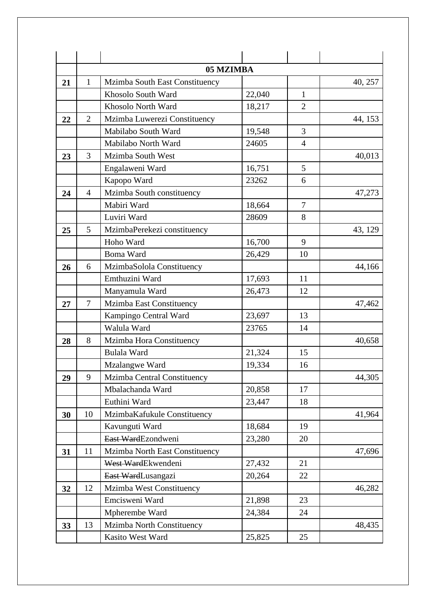|    |                | 05 MZIMBA                        |        |                |         |
|----|----------------|----------------------------------|--------|----------------|---------|
| 21 | 1              | Mzimba South East Constituency   |        |                | 40, 257 |
|    |                | Khosolo South Ward               | 22,040 | $\mathbf{1}$   |         |
|    |                | Khosolo North Ward               | 18,217 | $\overline{2}$ |         |
| 22 | $\overline{2}$ | Mzimba Luwerezi Constituency     |        |                | 44, 153 |
|    |                | Mabilabo South Ward              | 19,548 | 3              |         |
|    |                | Mabilabo North Ward              | 24605  | $\overline{4}$ |         |
| 23 | 3              | Mzimba South West                |        |                | 40,013  |
|    |                | Engalaweni Ward                  | 16,751 | 5              |         |
|    |                | Kapopo Ward                      | 23262  | 6              |         |
| 24 | $\overline{4}$ | Mzimba South constituency        |        |                | 47,273  |
|    |                | Mabiri Ward                      | 18,664 | $\overline{7}$ |         |
|    |                | Luviri Ward                      | 28609  | 8              |         |
| 25 | 5              | MzimbaPerekezi constituency      |        |                | 43, 129 |
|    |                | Hoho Ward                        | 16,700 | 9              |         |
|    |                | Boma Ward                        | 26,429 | 10             |         |
| 26 | 6              | MzimbaSolola Constituency        |        |                | 44,166  |
|    |                | Emthuzini Ward                   | 17,693 | 11             |         |
|    |                | Manyamula Ward                   | 26,473 | 12             |         |
| 27 | $\overline{7}$ | Mzimba East Constituency         |        |                | 47,462  |
|    |                | Kampingo Central Ward            | 23,697 | 13             |         |
|    |                | Walula Ward                      | 23765  | 14             |         |
| 28 | 8              | Mzimba Hora Constituency         |        |                | 40,658  |
|    |                | <b>Bulala Ward</b>               | 21,324 | 15             |         |
|    |                | Mzalangwe Ward                   | 19,334 | 16             |         |
| 29 | 9              | Mzimba Central Constituency      |        |                | 44,305  |
|    |                | Mbalachanda Ward                 | 20,858 | 17             |         |
|    |                | Euthini Ward                     | 23,447 | 18             |         |
| 30 | 10             | MzimbaKafukule Constituency      |        |                | 41,964  |
|    |                | Kavunguti Ward                   | 18,684 | 19             |         |
|    |                | East WardEzondweni               | 23,280 | 20             |         |
| 31 | 11             | Mzimba North East Constituency   |        |                | 47,696  |
|    |                | West WardEkwendeni               | 27,432 | 21             |         |
|    |                | East WardLusangazi               | 20,264 | 22             |         |
| 32 | 12             | Mzimba West Constituency         |        |                | 46,282  |
|    |                | Emcisweni Ward                   | 21,898 | 23             |         |
|    |                | Mpherembe Ward                   | 24,384 | 24             |         |
| 33 | 13             | <b>Mzimba North Constituency</b> |        |                | 48,435  |
|    |                | Kasito West Ward                 | 25,825 | 25             |         |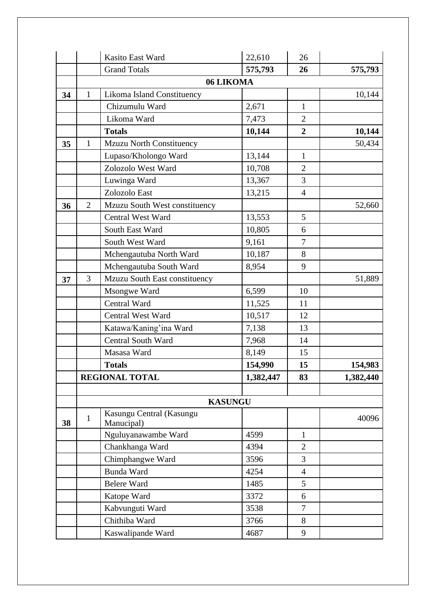|    |                | Kasito East Ward                       | 22,610    | 26             |           |
|----|----------------|----------------------------------------|-----------|----------------|-----------|
|    |                | <b>Grand Totals</b>                    | 575,793   | 26             | 575,793   |
|    |                | 06 LIKOMA                              |           |                |           |
| 34 | $\mathbf{1}$   | Likoma Island Constituency             |           |                | 10,144    |
|    |                | Chizumulu Ward                         | 2,671     | $\mathbf{1}$   |           |
|    |                | Likoma Ward                            | 7,473     | $\overline{2}$ |           |
|    |                | <b>Totals</b>                          | 10,144    | $\overline{2}$ | 10,144    |
| 35 | $\mathbf{1}$   | <b>Mzuzu North Constituency</b>        |           |                | 50,434    |
|    |                | Lupaso/Kholongo Ward                   | 13,144    | $\mathbf{1}$   |           |
|    |                | Zolozolo West Ward                     | 10,708    | $\overline{2}$ |           |
|    |                | Luwinga Ward                           | 13,367    | 3              |           |
|    |                | Zolozolo East                          | 13,215    | $\overline{4}$ |           |
| 36 | $\overline{2}$ | Mzuzu South West constituency          |           |                | 52,660    |
|    |                | <b>Central West Ward</b>               | 13,553    | 5              |           |
|    |                | South East Ward                        | 10,805    | 6              |           |
|    |                | South West Ward                        | 9,161     | $\overline{7}$ |           |
|    |                | Mchengautuba North Ward                | 10,187    | 8              |           |
|    |                | Mchengautuba South Ward                | 8,954     | 9              |           |
| 37 | 3              | Mzuzu South East constituency          |           |                | 51,889    |
|    |                | Msongwe Ward                           | 6,599     | 10             |           |
|    |                | Central Ward                           | 11,525    | 11             |           |
|    |                | <b>Central West Ward</b>               | 10,517    | 12             |           |
|    |                | Katawa/Kaning'ina Ward                 | 7,138     | 13             |           |
|    |                | <b>Central South Ward</b>              | 7,968     | 14             |           |
|    |                | Masasa Ward                            | 8,149     | 15             |           |
|    |                | <b>Totals</b>                          | 154,990   | 15             | 154,983   |
|    |                | <b>REGIONAL TOTAL</b>                  | 1,382,447 | 83             | 1,382,440 |
|    |                |                                        |           |                |           |
|    |                | <b>KASUNGU</b>                         |           |                |           |
| 38 | $\mathbf{1}$   | Kasungu Central (Kasungu<br>Manucipal) |           |                | 40096     |
|    |                | Nguluyanawambe Ward                    | 4599      | $\mathbf{1}$   |           |
|    |                | Chankhanga Ward                        | 4394      | $\overline{2}$ |           |
|    |                | Chimphangwe Ward                       | 3596      | 3              |           |
|    |                | Bunda Ward                             | 4254      | $\overline{4}$ |           |
|    |                | <b>Belere Ward</b>                     | 1485      | 5              |           |
|    |                | Katope Ward                            | 3372      | 6              |           |
|    |                | Kabvunguti Ward                        | 3538      | $\tau$         |           |
|    |                | Chithiba Ward                          | 3766      | 8              |           |
|    |                | Kaswalipande Ward                      | 4687      | 9              |           |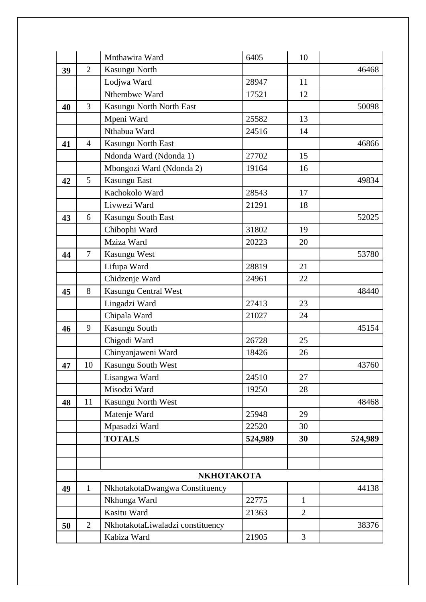|    |                | Mnthawira Ward                   | 6405    | 10             |         |
|----|----------------|----------------------------------|---------|----------------|---------|
| 39 | $\overline{2}$ | Kasungu North                    |         |                | 46468   |
|    |                | Lodjwa Ward                      | 28947   | 11             |         |
|    |                | Nthembwe Ward                    | 17521   | 12             |         |
| 40 | 3              | Kasungu North North East         |         |                | 50098   |
|    |                | Mpeni Ward                       | 25582   | 13             |         |
|    |                | Nthabua Ward                     | 24516   | 14             |         |
| 41 | $\overline{4}$ | Kasungu North East               |         |                | 46866   |
|    |                | Ndonda Ward (Ndonda 1)           | 27702   | 15             |         |
|    |                | Mbongozi Ward (Ndonda 2)         | 19164   | 16             |         |
| 42 | 5              | Kasungu East                     |         |                | 49834   |
|    |                | Kachokolo Ward                   | 28543   | 17             |         |
|    |                | Livwezi Ward                     | 21291   | 18             |         |
| 43 | 6              | <b>Kasungu South East</b>        |         |                | 52025   |
|    |                | Chibophi Ward                    | 31802   | 19             |         |
|    |                | Mziza Ward                       | 20223   | 20             |         |
| 44 | $\overline{7}$ | Kasungu West                     |         |                | 53780   |
|    |                | Lifupa Ward                      | 28819   | 21             |         |
|    |                | Chidzenje Ward                   | 24961   | 22             |         |
| 45 | 8              | Kasungu Central West             |         |                | 48440   |
|    |                | Lingadzi Ward                    | 27413   | 23             |         |
|    |                | Chipala Ward                     | 21027   | 24             |         |
| 46 | 9              | Kasungu South                    |         |                | 45154   |
|    |                | Chigodi Ward                     | 26728   | 25             |         |
|    |                | Chinyanjaweni Ward               | 18426   | 26             |         |
| 47 | 10             | Kasungu South West               |         |                | 43760   |
|    |                | Lisangwa Ward                    | 24510   | 27             |         |
|    |                | Misodzi Ward                     | 19250   | 28             |         |
| 48 | 11             | Kasungu North West               |         |                | 48468   |
|    |                | Matenje Ward                     | 25948   | 29             |         |
|    |                | Mpasadzi Ward                    | 22520   | 30             |         |
|    |                | <b>TOTALS</b>                    | 524,989 | 30             | 524,989 |
|    |                |                                  |         |                |         |
|    |                |                                  |         |                |         |
|    |                | <b>NKHOTAKOTA</b>                |         |                |         |
| 49 | $\mathbf{1}$   | NkhotakotaDwangwa Constituency   |         |                | 44138   |
|    |                | Nkhunga Ward                     | 22775   | $\mathbf{1}$   |         |
|    |                | Kasitu Ward                      | 21363   | $\overline{2}$ |         |
| 50 | $\overline{2}$ | NkhotakotaLiwaladzi constituency |         |                | 38376   |
|    |                | Kabiza Ward                      | 21905   | $\overline{3}$ |         |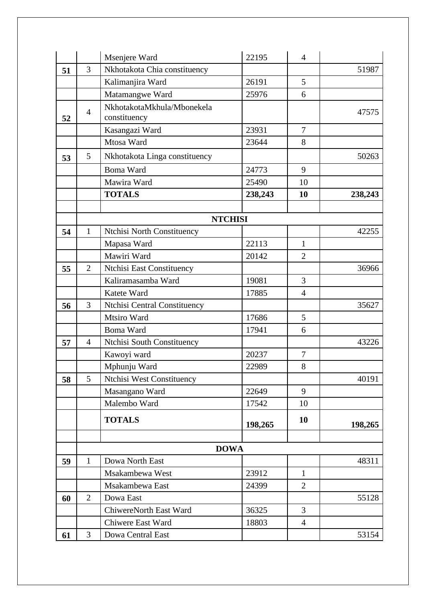|    |                | Msenjere Ward                 | 22195          | $\overline{4}$ |         |
|----|----------------|-------------------------------|----------------|----------------|---------|
| 51 | 3              | Nkhotakota Chia constituency  |                |                | 51987   |
|    |                | Kalimanjira Ward              | 26191          | 5              |         |
|    |                | Matamangwe Ward               | 25976          | 6              |         |
|    | $\overline{4}$ | NkhotakotaMkhula/Mbonekela    |                |                | 47575   |
| 52 |                | constituency                  |                |                |         |
|    |                | Kasangazi Ward                | 23931          | $\overline{7}$ |         |
|    |                | Mtosa Ward                    | 23644          | 8              |         |
| 53 | 5              | Nkhotakota Linga constituency |                |                | 50263   |
|    |                | <b>Boma Ward</b>              | 24773          | 9              |         |
|    |                | Mawira Ward                   | 25490          | 10             |         |
|    |                | <b>TOTALS</b>                 | 238,243        | 10             | 238,243 |
|    |                |                               |                |                |         |
|    |                |                               | <b>NTCHISI</b> |                |         |
| 54 | $\mathbf{1}$   | Ntchisi North Constituency    |                |                | 42255   |
|    |                | Mapasa Ward                   | 22113          | $\mathbf{1}$   |         |
|    |                | Mawiri Ward                   | 20142          | $\overline{2}$ |         |
| 55 | $\overline{2}$ | Ntchisi East Constituency     |                |                | 36966   |
|    |                | Kaliramasamba Ward            | 19081          | 3              |         |
|    |                | Katete Ward                   | 17885          | $\overline{4}$ |         |
| 56 | 3              | Ntchisi Central Constituency  |                |                | 35627   |
|    |                | Mtsiro Ward                   | 17686          | 5              |         |
|    |                | <b>Boma Ward</b>              | 17941          | 6              |         |
| 57 | $\overline{4}$ | Ntchisi South Constituency    |                |                | 43226   |
|    |                | Kawoyi ward                   | 20237          | $\tau$         |         |
|    |                | Mphunju Ward                  | 22989          | 8              |         |
| 58 | 5              | Ntchisi West Constituency     |                |                | 40191   |
|    |                | Masangano Ward                | 22649          | 9              |         |
|    |                | Malembo Ward                  | 17542          | 10             |         |
|    |                | <b>TOTALS</b>                 | 198,265        | 10             | 198,265 |
|    |                |                               |                |                |         |
|    |                | <b>DOWA</b>                   |                |                |         |
| 59 | $\mathbf{1}$   | Dowa North East               |                |                | 48311   |
|    |                | Msakambewa West               | 23912          | $\mathbf{1}$   |         |
|    |                | Msakambewa East               | 24399          | $\overline{2}$ |         |
| 60 | $\overline{2}$ | Dowa East                     |                |                | 55128   |
|    |                | ChiwereNorth East Ward        | 36325          | 3              |         |
|    |                | Chiwere East Ward             | 18803          | $\overline{4}$ |         |
| 61 | 3              | Dowa Central East             |                |                | 53154   |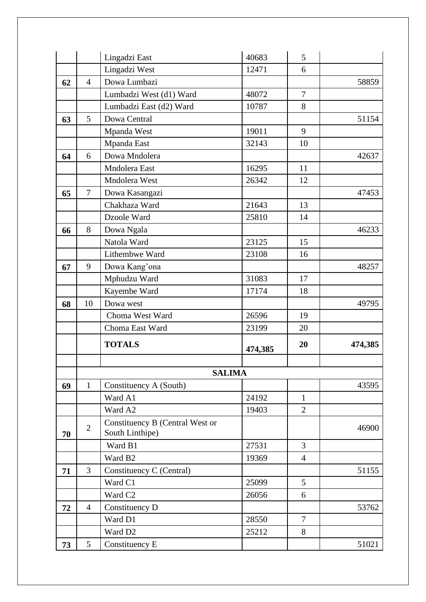|    |                | Lingadzi East                                      | 40683   | 5              |         |
|----|----------------|----------------------------------------------------|---------|----------------|---------|
|    |                | Lingadzi West                                      | 12471   | 6              |         |
| 62 | $\overline{4}$ | Dowa Lumbazi                                       |         |                | 58859   |
|    |                | Lumbadzi West (d1) Ward                            | 48072   | $\overline{7}$ |         |
|    |                | Lumbadzi East (d2) Ward                            | 10787   | 8              |         |
| 63 | 5              | Dowa Central                                       |         |                | 51154   |
|    |                | Mpanda West                                        | 19011   | 9              |         |
|    |                | Mpanda East                                        | 32143   | 10             |         |
| 64 | 6              | Dowa Mndolera                                      |         |                | 42637   |
|    |                | Mndolera East                                      | 16295   | 11             |         |
|    |                | Mndolera West                                      | 26342   | 12             |         |
| 65 | $\overline{7}$ | Dowa Kasangazi                                     |         |                | 47453   |
|    |                | Chakhaza Ward                                      | 21643   | 13             |         |
|    |                | Dzoole Ward                                        | 25810   | 14             |         |
| 66 | 8              | Dowa Ngala                                         |         |                | 46233   |
|    |                | Natola Ward                                        | 23125   | 15             |         |
|    |                | Lithembwe Ward                                     | 23108   | 16             |         |
| 67 | 9              | Dowa Kang'ona                                      |         |                | 48257   |
|    |                | Mphudzu Ward                                       | 31083   | 17             |         |
|    |                | Kayembe Ward                                       | 17174   | 18             |         |
| 68 | 10             | Dowa west                                          |         |                | 49795   |
|    |                | Choma West Ward                                    | 26596   | 19             |         |
|    |                | Choma East Ward                                    | 23199   | 20             |         |
|    |                | <b>TOTALS</b>                                      | 474,385 | 20             | 474,385 |
|    |                |                                                    |         |                |         |
|    |                | <b>SALIMA</b>                                      |         |                |         |
| 69 | $\mathbf{1}$   | Constituency A (South)                             |         |                | 43595   |
|    |                | Ward A1                                            | 24192   | $\mathbf{1}$   |         |
|    |                | Ward A2                                            | 19403   | $\overline{2}$ |         |
| 70 | $\overline{2}$ | Constituency B (Central West or<br>South Linthipe) |         |                | 46900   |
|    |                | Ward B1                                            | 27531   | 3              |         |
|    |                | Ward B <sub>2</sub>                                | 19369   | $\overline{4}$ |         |
| 71 | 3              | Constituency C (Central)                           |         |                | 51155   |
|    |                | Ward C1                                            | 25099   | 5              |         |
|    |                | Ward C <sub>2</sub>                                | 26056   | 6              |         |
| 72 | $\overline{4}$ | Constituency D                                     |         |                | 53762   |
|    |                | Ward D1                                            | 28550   | $\overline{7}$ |         |
|    |                | Ward D <sub>2</sub>                                | 25212   | 8              |         |
| 73 | 5              | Constituency E                                     |         |                | 51021   |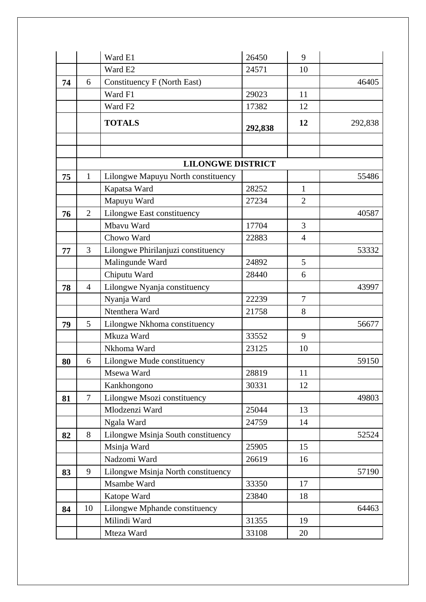|    |                | Ward E1                            | 26450   | 9              |         |
|----|----------------|------------------------------------|---------|----------------|---------|
|    |                | Ward E2                            | 24571   | 10             |         |
| 74 | 6              | Constituency F (North East)        |         |                | 46405   |
|    |                | Ward F1                            | 29023   | 11             |         |
|    |                | Ward F <sub>2</sub>                | 17382   | 12             |         |
|    |                | <b>TOTALS</b>                      | 292,838 | 12             | 292,838 |
|    |                |                                    |         |                |         |
|    |                |                                    |         |                |         |
|    |                | <b>LILONGWE DISTRICT</b>           |         |                |         |
| 75 | $\mathbf{1}$   | Lilongwe Mapuyu North constituency |         |                | 55486   |
|    |                | Kapatsa Ward                       | 28252   | $\mathbf{1}$   |         |
|    |                | Mapuyu Ward                        | 27234   | $\overline{2}$ |         |
| 76 | $\overline{2}$ | Lilongwe East constituency         |         |                | 40587   |
|    |                | Mbavu Ward                         | 17704   | 3              |         |
|    |                | Chowo Ward                         | 22883   | $\overline{4}$ |         |
| 77 | 3              | Lilongwe Phirilanjuzi constituency |         |                | 53332   |
|    |                | Malingunde Ward                    | 24892   | 5              |         |
|    |                | Chiputu Ward                       | 28440   | 6              |         |
| 78 | $\overline{4}$ | Lilongwe Nyanja constituency       |         |                | 43997   |
|    |                | Nyanja Ward                        | 22239   | 7              |         |
|    |                | Ntenthera Ward                     | 21758   | 8              |         |
| 79 | 5              | Lilongwe Nkhoma constituency       |         |                | 56677   |
|    |                | Mkuza Ward                         | 33552   | 9              |         |
|    |                | Nkhoma Ward                        | 23125   | 10             |         |
| 80 | 6              | Lilongwe Mude constituency         |         |                | 59150   |
|    |                | Msewa Ward                         | 28819   | 11             |         |
|    |                | Kankhongono                        | 30331   | 12             |         |
| 81 | $\overline{7}$ | Lilongwe Msozi constituency        |         |                | 49803   |
|    |                | Mlodzenzi Ward                     | 25044   | 13             |         |
|    |                | Ngala Ward                         | 24759   | 14             |         |
| 82 | 8              | Lilongwe Msinja South constituency |         |                | 52524   |
|    |                | Msinja Ward                        | 25905   | 15             |         |
|    |                | Nadzomi Ward                       | 26619   | 16             |         |
| 83 | 9              | Lilongwe Msinja North constituency |         |                | 57190   |
|    |                | Msambe Ward                        | 33350   | 17             |         |
|    |                | Katope Ward                        | 23840   | 18             |         |
| 84 | 10             | Lilongwe Mphande constituency      |         |                | 64463   |
|    |                | Milindi Ward                       | 31355   | 19             |         |
|    |                | Mteza Ward                         | 33108   | 20             |         |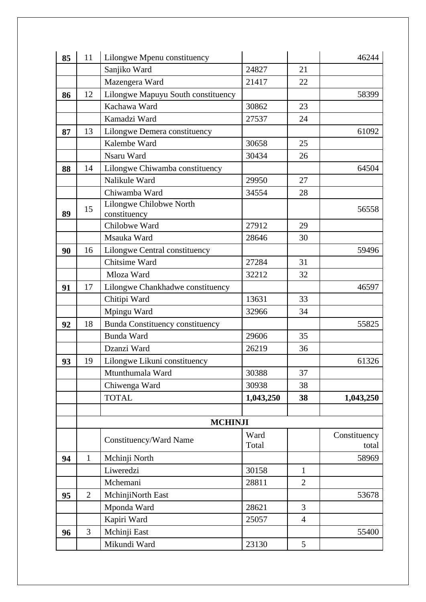| 85 | 11             | Lilongwe Mpenu constituency             |           |                | 46244        |
|----|----------------|-----------------------------------------|-----------|----------------|--------------|
|    |                | Sanjiko Ward                            | 24827     | 21             |              |
|    |                | Mazengera Ward                          | 21417     | 22             |              |
| 86 | 12             | Lilongwe Mapuyu South constituency      |           |                | 58399        |
|    |                | Kachawa Ward                            | 30862     | 23             |              |
|    |                | Kamadzi Ward                            | 27537     | 24             |              |
| 87 | 13             | Lilongwe Demera constituency            |           |                | 61092        |
|    |                | Kalembe Ward                            | 30658     | 25             |              |
|    |                | Nsaru Ward                              | 30434     | 26             |              |
| 88 | 14             | Lilongwe Chiwamba constituency          |           |                | 64504        |
|    |                | Nalikule Ward                           | 29950     | 27             |              |
|    |                | Chiwamba Ward                           | 34554     | 28             |              |
| 89 | 15             | Lilongwe Chilobwe North<br>constituency |           |                | 56558        |
|    |                | Chilobwe Ward                           | 27912     | 29             |              |
|    |                | Msauka Ward                             | 28646     | 30             |              |
| 90 | 16             | Lilongwe Central constituency           |           |                | 59496        |
|    |                | Chitsime Ward                           | 27284     | 31             |              |
|    |                | Mloza Ward                              | 32212     | 32             |              |
| 91 | 17             | Lilongwe Chankhadwe constituency        |           |                | 46597        |
|    |                | Chitipi Ward                            | 13631     | 33             |              |
|    |                | Mpingu Ward                             | 32966     | 34             |              |
| 92 | 18             | <b>Bunda Constituency constituency</b>  |           |                | 55825        |
|    |                | <b>Bunda Ward</b>                       | 29606     | 35             |              |
|    |                | Dzanzi Ward                             | 26219     | 36             |              |
| 93 | 19             | Lilongwe Likuni constituency            |           |                | 61326        |
|    |                | Mtunthumala Ward                        | 30388     | 37             |              |
|    |                | Chiwenga Ward                           | 30938     | 38             |              |
|    |                | <b>TOTAL</b>                            | 1,043,250 | 38             | 1,043,250    |
|    |                |                                         |           |                |              |
|    |                | <b>MCHINJI</b>                          |           |                |              |
|    |                | Constituency/Ward Name                  | Ward      |                | Constituency |
|    |                |                                         | Total     |                | total        |
| 94 | $\mathbf{1}$   | Mchinji North                           |           |                | 58969        |
|    |                | Liweredzi                               | 30158     | $\mathbf{1}$   |              |
|    |                | Mchemani                                | 28811     | $\overline{2}$ |              |
| 95 | $\overline{2}$ | MchinjiNorth East                       |           |                | 53678        |
|    |                | Mponda Ward                             | 28621     | 3              |              |
|    |                | Kapiri Ward                             | 25057     | $\overline{4}$ |              |
| 96 | 3              | Mchinji East                            |           |                | 55400        |
|    |                | Mikundi Ward                            | 23130     | 5              |              |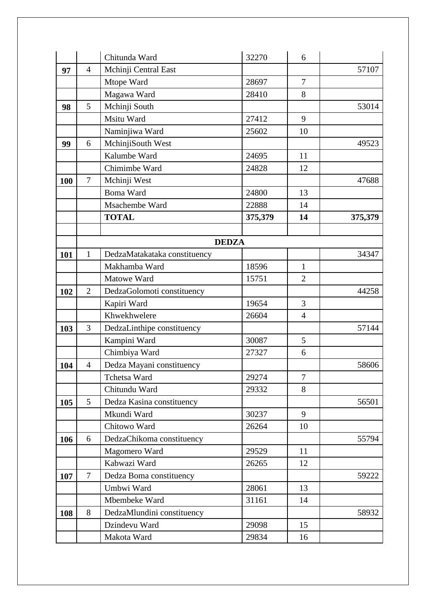|     |                | Chitunda Ward                | 32270   | 6              |         |
|-----|----------------|------------------------------|---------|----------------|---------|
| 97  | $\overline{4}$ | Mchinji Central East         |         |                | 57107   |
|     |                | Mtope Ward                   | 28697   | $\overline{7}$ |         |
|     |                | Magawa Ward                  | 28410   | 8              |         |
| 98  | 5              | Mchinji South                |         |                | 53014   |
|     |                | Msitu Ward                   | 27412   | 9              |         |
|     |                | Naminjiwa Ward               | 25602   | 10             |         |
| 99  | 6              | MchinjiSouth West            |         |                | 49523   |
|     |                | Kalumbe Ward                 | 24695   | 11             |         |
|     |                | Chimimbe Ward                | 24828   | 12             |         |
| 100 | $\overline{7}$ | Mchinji West                 |         |                | 47688   |
|     |                | <b>Boma Ward</b>             | 24800   | 13             |         |
|     |                | Msachembe Ward               | 22888   | 14             |         |
|     |                | <b>TOTAL</b>                 | 375,379 | 14             | 375,379 |
|     |                |                              |         |                |         |
|     |                | <b>DEDZA</b>                 |         |                |         |
| 101 | $\mathbf{1}$   | DedzaMatakataka constituency |         |                | 34347   |
|     |                | Makhamba Ward                | 18596   | $\mathbf{1}$   |         |
|     |                | Matowe Ward                  | 15751   | $\overline{2}$ |         |
| 102 | $\overline{2}$ | DedzaGolomoti constituency   |         |                | 44258   |
|     |                | Kapiri Ward                  | 19654   | 3              |         |
|     |                | Khwekhwelere                 | 26604   | $\overline{4}$ |         |
| 103 | 3              | DedzaLinthipe constituency   |         |                | 57144   |
|     |                | Kampini Ward                 | 30087   | 5              |         |
|     |                | Chimbiya Ward                | 27327   | 6              |         |
| 104 | $\overline{4}$ | Dedza Mayani constituency    |         |                | 58606   |
|     |                | Tchetsa Ward                 | 29274   | 7              |         |
|     |                | Chitundu Ward                | 29332   | 8              |         |
| 105 | 5              | Dedza Kasina constituency    |         |                | 56501   |
|     |                | Mkundi Ward                  | 30237   | 9              |         |
|     |                | Chitowo Ward                 | 26264   | 10             |         |
| 106 | 6              | DedzaChikoma constituency    |         |                | 55794   |
|     |                | Magomero Ward                | 29529   | 11             |         |
|     |                | Kabwazi Ward                 | 26265   | 12             |         |
| 107 | $\tau$         | Dedza Boma constituency      |         |                | 59222   |
|     |                | Umbwi Ward                   | 28061   | 13             |         |
|     |                | Mbembeke Ward                | 31161   | 14             |         |
| 108 | 8              | DedzaMlundini constituency   |         |                | 58932   |
|     |                | Dzindevu Ward                | 29098   | 15             |         |
|     |                | Makota Ward                  | 29834   | 16             |         |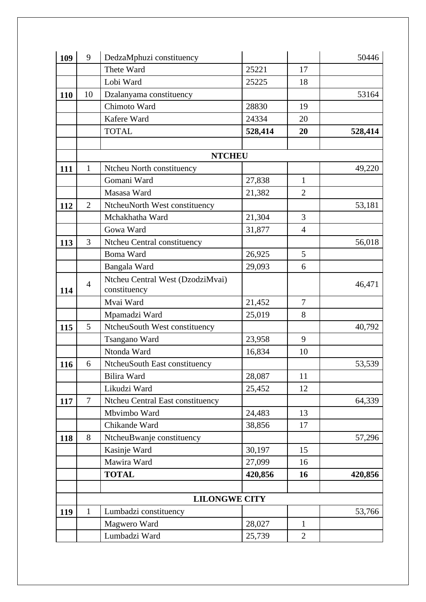| 109 | 9              | DedzaMphuzi constituency                         |         |                | 50446   |
|-----|----------------|--------------------------------------------------|---------|----------------|---------|
|     |                | Thete Ward                                       | 25221   | 17             |         |
|     |                | Lobi Ward                                        | 25225   | 18             |         |
| 110 | 10             | Dzalanyama constituency                          |         |                | 53164   |
|     |                | Chimoto Ward                                     | 28830   | 19             |         |
|     |                | Kafere Ward                                      | 24334   | 20             |         |
|     |                | <b>TOTAL</b>                                     | 528,414 | 20             | 528,414 |
|     |                |                                                  |         |                |         |
|     |                | <b>NTCHEU</b>                                    |         |                |         |
| 111 | $\mathbf{1}$   | Ntcheu North constituency                        |         |                | 49,220  |
|     |                | Gomani Ward                                      | 27,838  | 1              |         |
|     |                | Masasa Ward                                      | 21,382  | $\overline{2}$ |         |
| 112 | $\overline{2}$ | NtcheuNorth West constituency                    |         |                | 53,181  |
|     |                | Mchakhatha Ward                                  | 21,304  | 3              |         |
|     |                | Gowa Ward                                        | 31,877  | $\overline{4}$ |         |
| 113 | 3              | Ntcheu Central constituency                      |         |                | 56,018  |
|     |                | <b>Boma Ward</b>                                 | 26,925  | 5              |         |
|     |                | Bangala Ward                                     | 29,093  | 6              |         |
| 114 | $\overline{4}$ | Ntcheu Central West (DzodziMvai)<br>constituency |         |                | 46,471  |
|     |                | Mvai Ward                                        | 21,452  | $\overline{7}$ |         |
|     |                | Mpamadzi Ward                                    | 25,019  | 8              |         |
| 115 | 5              | NtcheuSouth West constituency                    |         |                | 40,792  |
|     |                | Tsangano Ward                                    | 23,958  | 9              |         |
|     |                | Ntonda Ward                                      | 16,834  | 10             |         |
| 116 | 6              | NtcheuSouth East constituency                    |         |                | 53,539  |
|     |                | <b>Bilira Ward</b>                               | 28,087  | 11             |         |
|     |                | Likudzi Ward                                     | 25,452  | 12             |         |
| 117 | $\tau$         | <b>Ntcheu Central East constituency</b>          |         |                | 64,339  |
|     |                | Mbvimbo Ward                                     | 24,483  | 13             |         |
|     |                | Chikande Ward                                    | 38,856  | 17             |         |
| 118 | 8              | NtcheuBwanje constituency                        |         |                | 57,296  |
|     |                | Kasinje Ward                                     | 30,197  | 15             |         |
|     |                | Mawira Ward                                      | 27,099  | 16             |         |
|     |                | <b>TOTAL</b>                                     | 420,856 | 16             | 420,856 |
|     |                |                                                  |         |                |         |
|     |                | <b>LILONGWE CITY</b>                             |         |                |         |
| 119 | $\mathbf{1}$   | Lumbadzi constituency                            |         |                | 53,766  |
|     |                | Magwero Ward                                     | 28,027  | 1              |         |
|     |                | Lumbadzi Ward                                    | 25,739  | $\overline{2}$ |         |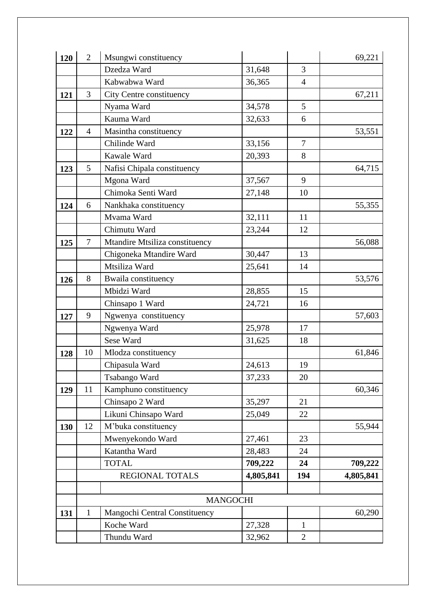| 120 | $\overline{2}$ | Msungwi constituency            |           |                | 69,221    |
|-----|----------------|---------------------------------|-----------|----------------|-----------|
|     |                | Dzedza Ward                     | 31,648    | 3              |           |
|     |                | Kabwabwa Ward                   | 36,365    | $\overline{4}$ |           |
| 121 | 3              | <b>City Centre constituency</b> |           |                | 67,211    |
|     |                | Nyama Ward                      | 34,578    | 5              |           |
|     |                | Kauma Ward                      | 32,633    | 6              |           |
| 122 | $\overline{4}$ | Masintha constituency           |           |                | 53,551    |
|     |                | Chilinde Ward                   | 33,156    | $\overline{7}$ |           |
|     |                | Kawale Ward                     | 20,393    | 8              |           |
| 123 | 5              | Nafisi Chipala constituency     |           |                | 64,715    |
|     |                | Mgona Ward                      | 37,567    | 9              |           |
|     |                | Chimoka Senti Ward              | 27,148    | 10             |           |
| 124 | 6              | Nankhaka constituency           |           |                | 55,355    |
|     |                | Mvama Ward                      | 32,111    | 11             |           |
|     |                | Chimutu Ward                    | 23,244    | 12             |           |
| 125 | $\overline{7}$ | Mtandire Mtsiliza constituency  |           |                | 56,088    |
|     |                | Chigoneka Mtandire Ward         | 30,447    | 13             |           |
|     |                | Mtsiliza Ward                   | 25,641    | 14             |           |
| 126 | 8              | Bwaila constituency             |           |                | 53,576    |
|     |                | Mbidzi Ward                     | 28,855    | 15             |           |
|     |                | Chinsapo 1 Ward                 | 24,721    | 16             |           |
| 127 | 9              | Ngwenya constituency            |           |                | 57,603    |
|     |                | Ngwenya Ward                    | 25,978    | 17             |           |
|     |                | Sese Ward                       | 31,625    | 18             |           |
| 128 | 10             | Mlodza constituency             |           |                | 61,846    |
|     |                | Chipasula Ward                  | 24,613    | 19             |           |
|     |                | Tsabango Ward                   | 37,233    | 20             |           |
| 129 | 11             | Kamphuno constituency           |           |                | 60,346    |
|     |                | Chinsapo 2 Ward                 | 35,297    | 21             |           |
|     |                | Likuni Chinsapo Ward            | 25,049    | 22             |           |
| 130 | 12             | M'buka constituency             |           |                | 55,944    |
|     |                | Mwenyekondo Ward                | 27,461    | 23             |           |
|     |                | Katantha Ward                   | 28,483    | 24             |           |
|     |                | <b>TOTAL</b>                    | 709,222   | 24             | 709,222   |
|     |                | REGIONAL TOTALS                 | 4,805,841 | 194            | 4,805,841 |
|     |                |                                 |           |                |           |
|     |                | <b>MANGOCHI</b>                 |           |                |           |
| 131 | $\mathbf{1}$   | Mangochi Central Constituency   |           |                | 60,290    |
|     |                | Koche Ward                      | 27,328    | $\mathbf{1}$   |           |
|     |                | Thundu Ward                     | 32,962    | $\overline{2}$ |           |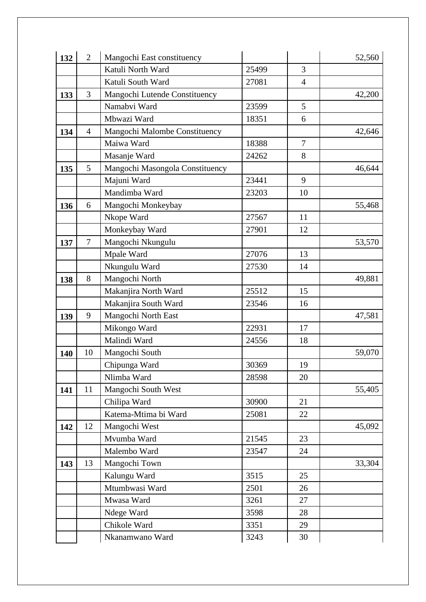| 132 | $\overline{2}$ | Mangochi East constituency      |       |                | 52,560 |
|-----|----------------|---------------------------------|-------|----------------|--------|
|     |                | Katuli North Ward               | 25499 | 3              |        |
|     |                | Katuli South Ward               | 27081 | $\overline{4}$ |        |
| 133 | 3              | Mangochi Lutende Constituency   |       |                | 42,200 |
|     |                | Namabvi Ward                    | 23599 | 5              |        |
|     |                | Mbwazi Ward                     | 18351 | 6              |        |
| 134 | $\overline{4}$ | Mangochi Malombe Constituency   |       |                | 42,646 |
|     |                | Maiwa Ward                      | 18388 | $\overline{7}$ |        |
|     |                | Masanje Ward                    | 24262 | 8              |        |
| 135 | 5              | Mangochi Masongola Constituency |       |                | 46,644 |
|     |                | Majuni Ward                     | 23441 | 9              |        |
|     |                | Mandimba Ward                   | 23203 | 10             |        |
| 136 | 6              | Mangochi Monkeybay              |       |                | 55,468 |
|     |                | Nkope Ward                      | 27567 | 11             |        |
|     |                | Monkeybay Ward                  | 27901 | 12             |        |
| 137 | $\overline{7}$ | Mangochi Nkungulu               |       |                | 53,570 |
|     |                | Mpale Ward                      | 27076 | 13             |        |
|     |                | Nkungulu Ward                   | 27530 | 14             |        |
| 138 | 8              | Mangochi North                  |       |                | 49,881 |
|     |                | Makanjira North Ward            | 25512 | 15             |        |
|     |                | Makanjira South Ward            | 23546 | 16             |        |
| 139 | 9              | Mangochi North East             |       |                | 47,581 |
|     |                | Mikongo Ward                    | 22931 | 17             |        |
|     |                | Malindi Ward                    | 24556 | 18             |        |
| 140 | 10             | Mangochi South                  |       |                | 59,070 |
|     |                | Chipunga Ward                   | 30369 | 19             |        |
|     |                | Nlimba Ward                     | 28598 | 20             |        |
| 141 | 11             | Mangochi South West             |       |                | 55,405 |
|     |                | Chilipa Ward                    | 30900 | 21             |        |
|     |                | Katema-Mtima bi Ward            | 25081 | 22             |        |
| 142 | 12             | Mangochi West                   |       |                | 45,092 |
|     |                | Mvumba Ward                     | 21545 | 23             |        |
|     |                | Malembo Ward                    | 23547 | 24             |        |
| 143 | 13             | Mangochi Town                   |       |                | 33,304 |
|     |                | Kalungu Ward                    | 3515  | 25             |        |
|     |                | Mtumbwasi Ward                  | 2501  | 26             |        |
|     |                | Mwasa Ward                      | 3261  | 27             |        |
|     |                | Ndege Ward                      | 3598  | 28             |        |
|     |                | Chikole Ward                    | 3351  | 29             |        |
|     |                | Nkanamwano Ward                 | 3243  | 30             |        |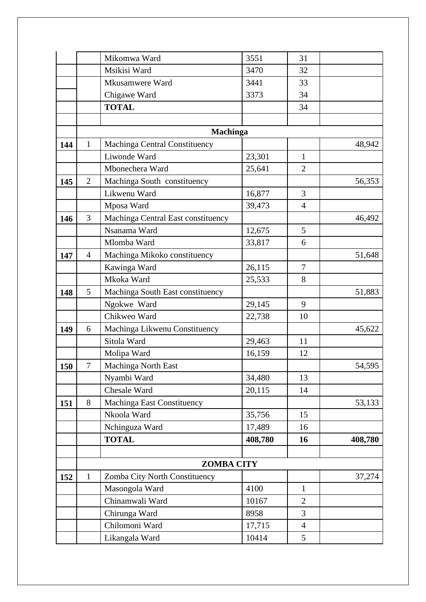|     |                | Mikomwa Ward                       | 3551    | 31             |         |
|-----|----------------|------------------------------------|---------|----------------|---------|
|     |                | Msikisi Ward                       | 3470    | 32             |         |
|     |                | Mkusamwere Ward                    | 3441    | 33             |         |
|     |                | Chigawe Ward                       | 3373    | 34             |         |
|     |                | <b>TOTAL</b>                       |         | 34             |         |
|     |                |                                    |         |                |         |
|     |                | <b>Machinga</b>                    |         |                |         |
| 144 | $\mathbf{1}$   | Machinga Central Constituency      |         |                | 48,942  |
|     |                | Liwonde Ward                       | 23,301  | $\mathbf{1}$   |         |
|     |                | Mbonechera Ward                    | 25,641  | $\overline{2}$ |         |
| 145 | $\overline{2}$ | Machinga South constituency        |         |                | 56,353  |
|     |                | Likwenu Ward                       | 16,877  | $\overline{3}$ |         |
|     |                | Mposa Ward                         | 39,473  | $\overline{4}$ |         |
| 146 | 3              | Machinga Central East constituency |         |                | 46,492  |
|     |                | Nsanama Ward                       | 12,675  | 5              |         |
|     |                | Mlomba Ward                        | 33,817  | 6              |         |
| 147 | $\overline{4}$ | Machinga Mikoko constituency       |         |                | 51,648  |
|     |                | Kawinga Ward                       | 26,115  | $\overline{7}$ |         |
|     |                | Mkoka Ward                         | 25,533  | 8              |         |
| 148 | 5              | Machinga South East constituency   |         |                | 51,883  |
|     |                | Ngokwe Ward                        | 29,145  | 9              |         |
|     |                | Chikweo Ward                       | 22,738  | 10             |         |
| 149 | 6              | Machinga Likwenu Constituency      |         |                | 45,622  |
|     |                | Sitola Ward                        | 29,463  | 11             |         |
|     |                | Molipa Ward                        | 16,159  | 12             |         |
| 150 | $\tau$         | Machinga North East                |         |                | 54,595  |
|     |                | Nyambi Ward                        | 34,480  | 13             |         |
|     |                | Chesale Ward                       | 20,115  | 14             |         |
| 151 | 8              | Machinga East Constituency         |         |                | 53,133  |
|     |                | Nkoola Ward                        | 35,756  | 15             |         |
|     |                | Nchinguza Ward                     | 17,489  | 16             |         |
|     |                | <b>TOTAL</b>                       | 408,780 | 16             | 408,780 |
|     |                |                                    |         |                |         |
|     |                | <b>ZOMBA CITY</b>                  |         |                |         |
| 152 | $\mathbf{1}$   | Zomba City North Constituency      |         |                | 37,274  |
|     |                | Masongola Ward                     | 4100    | $\mathbf{1}$   |         |
|     |                | Chinamwali Ward                    | 10167   | $\overline{2}$ |         |
|     |                | Chirunga Ward                      | 8958    | 3              |         |
|     |                | Chilomoni Ward                     | 17,715  | $\overline{4}$ |         |
|     |                | Likangala Ward                     | 10414   | 5              |         |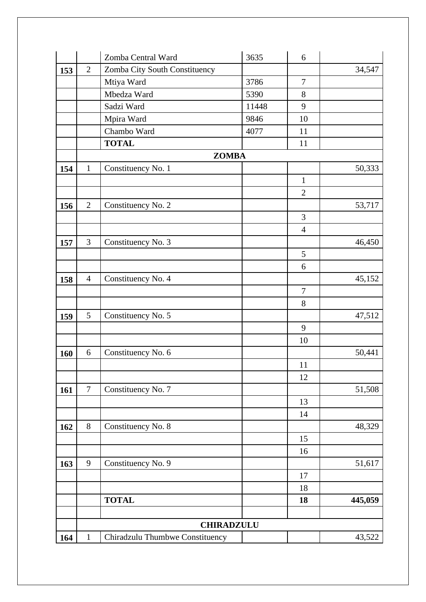|     |                | Zomba Central Ward              | 3635              | 6              |         |
|-----|----------------|---------------------------------|-------------------|----------------|---------|
| 153 | $\overline{2}$ | Zomba City South Constituency   |                   |                | 34,547  |
|     |                | Mtiya Ward                      | 3786              | $\tau$         |         |
|     |                | Mbedza Ward                     | 5390              | 8              |         |
|     |                | Sadzi Ward                      | 11448             | 9              |         |
|     |                | Mpira Ward                      | 9846              | 10             |         |
|     |                | Chambo Ward                     | 4077              | 11             |         |
|     |                | <b>TOTAL</b>                    |                   | 11             |         |
|     |                | <b>ZOMBA</b>                    |                   |                |         |
| 154 | $\mathbf{1}$   | Constituency No. 1              |                   |                | 50,333  |
|     |                |                                 |                   | $\mathbf{1}$   |         |
|     |                |                                 |                   | $\overline{2}$ |         |
| 156 | $\overline{2}$ | Constituency No. 2              |                   |                | 53,717  |
|     |                |                                 |                   | 3              |         |
|     |                |                                 |                   | $\overline{4}$ |         |
| 157 | 3              | Constituency No. 3              |                   |                | 46,450  |
|     |                |                                 |                   | 5              |         |
|     |                |                                 |                   | 6              |         |
| 158 | $\overline{4}$ | Constituency No. 4              |                   |                | 45,152  |
|     |                |                                 |                   | $\tau$         |         |
|     |                |                                 |                   | 8              |         |
| 159 | 5              | Constituency No. 5              |                   |                | 47,512  |
|     |                |                                 |                   | 9              |         |
|     |                |                                 |                   | 10             |         |
| 160 | 6              | Constituency No. 6              |                   |                | 50,441  |
|     |                |                                 |                   | 11             |         |
|     |                |                                 |                   | 12             |         |
| 161 | $\overline{7}$ | Constituency No. 7              |                   |                | 51,508  |
|     |                |                                 |                   | 13             |         |
|     |                |                                 |                   | 14             |         |
| 162 | 8              | Constituency No. 8              |                   |                | 48,329  |
|     |                |                                 |                   | 15             |         |
|     |                |                                 |                   | 16             |         |
| 163 | 9              | Constituency No. 9              |                   |                | 51,617  |
|     |                |                                 |                   | 17             |         |
|     |                |                                 |                   | 18             |         |
|     |                | <b>TOTAL</b>                    |                   | 18             | 445,059 |
|     |                |                                 |                   |                |         |
|     |                |                                 | <b>CHIRADZULU</b> |                |         |
| 164 | $\mathbf{1}$   | Chiradzulu Thumbwe Constituency |                   |                | 43,522  |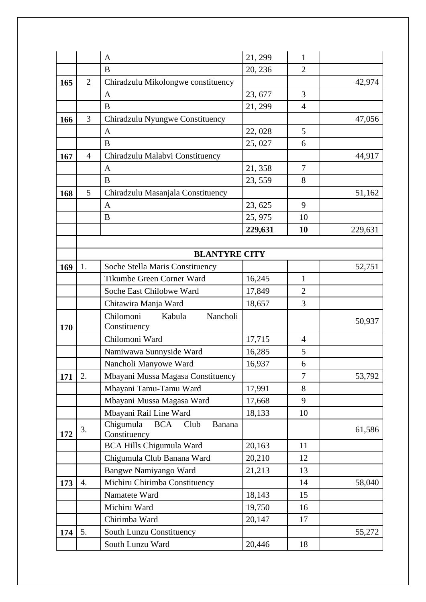|     |                | $\mathbf{A}$                                    | 21, 299 | 1              |         |  |  |
|-----|----------------|-------------------------------------------------|---------|----------------|---------|--|--|
|     |                | B                                               | 20, 236 | $\overline{2}$ |         |  |  |
| 165 | $\overline{2}$ | Chiradzulu Mikolongwe constituency              |         |                | 42,974  |  |  |
|     |                | $\mathbf{A}$                                    | 23, 677 | $\overline{3}$ |         |  |  |
|     |                | B                                               | 21, 299 | $\overline{4}$ |         |  |  |
| 166 | 3              | Chiradzulu Nyungwe Constituency                 |         |                | 47,056  |  |  |
|     |                | $\mathbf{A}$                                    | 22,028  | 5              |         |  |  |
|     |                | $\bf{B}$                                        | 25,027  | 6              |         |  |  |
| 167 | $\overline{4}$ | Chiradzulu Malabvi Constituency                 |         |                | 44,917  |  |  |
|     |                | A                                               | 21,358  | $\overline{7}$ |         |  |  |
|     |                | B                                               | 23, 559 | 8              |         |  |  |
| 168 | 5              | Chiradzulu Masanjala Constituency               |         |                | 51,162  |  |  |
|     |                | $\mathbf{A}$                                    | 23, 625 | 9              |         |  |  |
|     |                | B                                               | 25, 975 | 10             |         |  |  |
|     |                |                                                 | 229,631 | 10             | 229,631 |  |  |
|     |                |                                                 |         |                |         |  |  |
|     |                | <b>BLANTYRE CITY</b>                            |         |                |         |  |  |
| 169 | 1.             | Soche Stella Maris Constituency                 |         |                | 52,751  |  |  |
|     |                | Tikumbe Green Corner Ward                       | 16,245  | $\mathbf{1}$   |         |  |  |
|     |                | Soche East Chilobwe Ward                        | 17,849  | $\overline{2}$ |         |  |  |
|     |                | Chitawira Manja Ward                            | 18,657  | 3              |         |  |  |
|     |                | Chilomoni<br>Nancholi<br>Kabula                 |         |                | 50,937  |  |  |
| 170 |                | Constituency                                    |         |                |         |  |  |
|     |                | Chilomoni Ward                                  | 17,715  | $\overline{4}$ |         |  |  |
|     |                | Namiwawa Sunnyside Ward                         | 16,285  | 5              |         |  |  |
|     |                | Nancholi Manyowe Ward                           | 16,937  | 6              |         |  |  |
| 171 | 2.             | Mbayani Mussa Magasa Constituency               |         | $\tau$         | 53,792  |  |  |
|     |                | Mbayani Tamu-Tamu Ward                          | 17,991  | 8              |         |  |  |
|     |                | Mbayani Mussa Magasa Ward                       | 17,668  | 9              |         |  |  |
|     |                | Mbayani Rail Line Ward                          | 18,133  | 10             |         |  |  |
| 172 | 3.             | Chigumula<br><b>BCA</b><br>Club<br>Banana       |         |                | 61,586  |  |  |
|     |                | Constituency<br><b>BCA Hills Chigumula Ward</b> | 20,163  | 11             |         |  |  |
|     |                | Chigumula Club Banana Ward                      | 20,210  | 12             |         |  |  |
|     |                | Bangwe Namiyango Ward                           | 21,213  | 13             |         |  |  |
| 173 | 4.             | Michiru Chirimba Constituency                   |         | 14             | 58,040  |  |  |
|     |                | Namatete Ward                                   | 18,143  | 15             |         |  |  |
|     |                | Michiru Ward                                    | 19,750  | 16             |         |  |  |
|     |                | Chirimba Ward                                   | 20,147  | 17             |         |  |  |
| 174 | 5.             | South Lunzu Constituency                        |         |                | 55,272  |  |  |
|     |                | South Lunzu Ward                                | 20,446  | 18             |         |  |  |
|     |                |                                                 |         |                |         |  |  |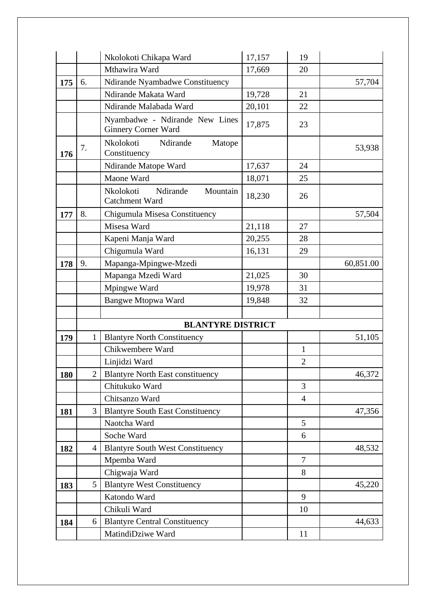|     |                | Nkolokoti Chikapa Ward                                     | 17,157 | 19                             |           |
|-----|----------------|------------------------------------------------------------|--------|--------------------------------|-----------|
|     |                | Mthawira Ward                                              | 17,669 | 20                             |           |
| 175 | 6.             | Ndirande Nyambadwe Constituency                            |        |                                | 57,704    |
|     |                | Ndirande Makata Ward                                       | 19,728 | 21                             |           |
|     |                | Ndirande Malabada Ward                                     | 20,101 | 22                             |           |
|     |                | Nyambadwe - Ndirande New Lines<br>Ginnery Corner Ward      | 17,875 | 23                             |           |
| 176 | 7.             | Nkolokoti<br>Ndirande<br>Matope<br>Constituency            |        |                                | 53,938    |
|     |                | Ndirande Matope Ward                                       | 17,637 | 24                             |           |
|     |                | Maone Ward                                                 | 18,071 | 25                             |           |
|     |                | Mountain<br>Nkolokoti<br>Ndirande<br><b>Catchment Ward</b> | 18,230 | 26                             |           |
| 177 | 8.             | Chigumula Misesa Constituency                              |        |                                | 57,504    |
|     |                | Misesa Ward                                                | 21,118 | 27                             |           |
|     |                | Kapeni Manja Ward                                          | 20,255 | 28                             |           |
|     |                | Chigumula Ward                                             | 16,131 | 29                             |           |
| 178 | 9.             | Mapanga-Mpingwe-Mzedi                                      |        |                                | 60,851.00 |
|     |                | Mapanga Mzedi Ward                                         | 21,025 | 30                             |           |
|     |                | Mpingwe Ward                                               | 19,978 | 31                             |           |
|     |                | <b>Bangwe Mtopwa Ward</b>                                  | 19,848 | 32                             |           |
|     |                |                                                            |        |                                |           |
|     |                | <b>BLANTYRE DISTRICT</b>                                   |        |                                |           |
| 179 | $\mathbf{1}$   | <b>Blantyre North Constituency</b><br>Chikwembere Ward     |        |                                | 51,105    |
|     |                |                                                            |        | $\mathbf{1}$<br>$\mathfrak{2}$ |           |
|     | $\overline{2}$ | Linjidzi Ward<br><b>Blantyre North East constituency</b>   |        |                                | 46,372    |
| 180 |                | Chitukuko Ward                                             |        | 3                              |           |
|     |                | Chitsanzo Ward                                             |        | $\overline{4}$                 |           |
| 181 | 3              | <b>Blantyre South East Constituency</b>                    |        |                                | 47,356    |
|     |                | Naotcha Ward                                               |        | 5                              |           |
|     |                | Soche Ward                                                 |        | 6                              |           |
| 182 | $\overline{4}$ | <b>Blantyre South West Constituency</b>                    |        |                                | 48,532    |
|     |                | Mpemba Ward                                                |        | $\overline{7}$                 |           |
|     |                | Chigwaja Ward                                              |        | 8                              |           |
| 183 | 5              | <b>Blantyre West Constituency</b>                          |        |                                | 45,220    |
|     |                | Katondo Ward                                               |        | 9                              |           |
|     |                | Chikuli Ward                                               |        | 10                             |           |
| 184 | 6              | <b>Blantyre Central Constituency</b>                       |        |                                | 44,633    |
|     |                | MatindiDziwe Ward                                          |        | 11                             |           |
|     |                |                                                            |        |                                |           |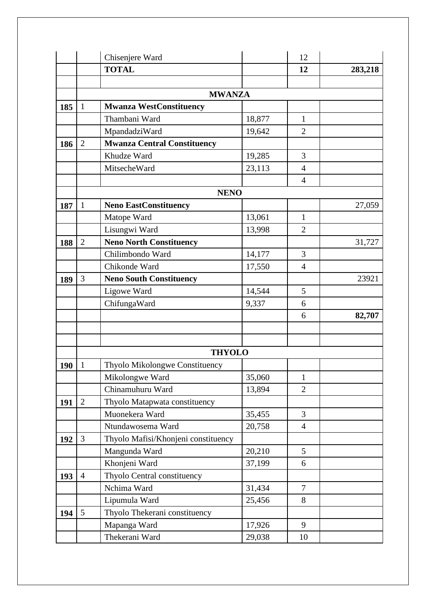|     |                | Chisenjere Ward                     |        | 12              |         |
|-----|----------------|-------------------------------------|--------|-----------------|---------|
|     |                | <b>TOTAL</b>                        |        | 12              | 283,218 |
|     |                |                                     |        |                 |         |
|     |                | <b>MWANZA</b>                       |        |                 |         |
| 185 | $\mathbf 1$    | <b>Mwanza WestConstituency</b>      |        |                 |         |
|     |                | Thambani Ward                       | 18,877 | 1               |         |
|     |                | MpandadziWard                       | 19,642 | $\overline{2}$  |         |
| 186 | $\overline{2}$ | <b>Mwanza Central Constituency</b>  |        |                 |         |
|     |                | Khudze Ward                         | 19,285 | 3               |         |
|     |                | MitsecheWard                        | 23,113 | $\overline{4}$  |         |
|     |                |                                     |        | $\overline{4}$  |         |
|     |                | <b>NENO</b>                         |        |                 |         |
| 187 | 1              | <b>Neno EastConstituency</b>        |        |                 | 27,059  |
|     |                | Matope Ward                         | 13,061 | 1               |         |
|     |                | Lisungwi Ward                       | 13,998 | $\overline{2}$  |         |
| 188 | $\mathbf{2}$   | <b>Neno North Constituency</b>      |        |                 | 31,727  |
|     |                | Chilimbondo Ward                    | 14,177 | 3               |         |
|     |                | Chikonde Ward                       | 17,550 | $\overline{4}$  |         |
| 189 | 3              | <b>Neno South Constituency</b>      |        |                 | 23921   |
|     |                | Ligowe Ward                         | 14,544 | 5               |         |
|     |                | ChifungaWard                        | 9,337  | 6               |         |
|     |                |                                     |        | 6               | 82,707  |
|     |                |                                     |        |                 |         |
|     |                |                                     |        |                 |         |
|     |                | <b>THYOLO</b>                       |        |                 |         |
| 190 | $\mathbf{1}$   | Thyolo Mikolongwe Constituency      |        |                 |         |
|     |                | Mikolongwe Ward                     | 35,060 | $\mathbf{1}$    |         |
|     |                | Chinamuhuru Ward                    | 13,894 | $\overline{2}$  |         |
| 191 | $\overline{2}$ | Thyolo Matapwata constituency       |        |                 |         |
|     |                | Muonekera Ward                      | 35,455 | 3               |         |
|     |                | Ntundawosema Ward                   | 20,758 | $\overline{4}$  |         |
| 192 | 3              | Thyolo Mafisi/Khonjeni constituency |        |                 |         |
|     |                | Mangunda Ward                       | 20,210 | $5\overline{)}$ |         |
|     |                | Khonjeni Ward                       | 37,199 | 6               |         |
| 193 | $\overline{4}$ | Thyolo Central constituency         |        |                 |         |
|     |                | Nchima Ward                         | 31,434 | $\overline{7}$  |         |
|     |                | Lipumula Ward                       | 25,456 | 8               |         |
| 194 | 5              | Thyolo Thekerani constituency       |        |                 |         |
|     |                | Mapanga Ward                        | 17,926 | 9               |         |
|     |                | Thekerani Ward                      | 29,038 | 10              |         |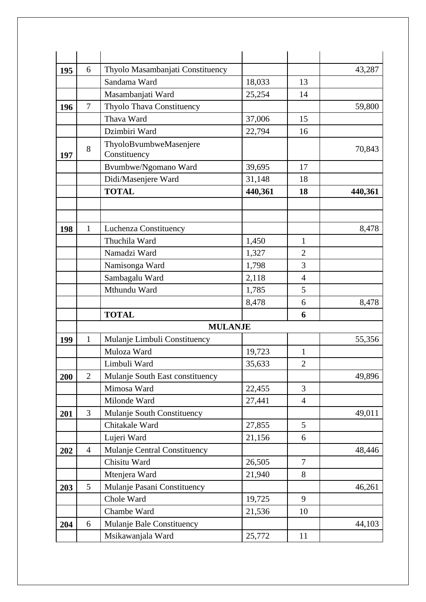| 195 | 6              | Thyolo Masambanjati Constituency |         |                 | 43,287  |
|-----|----------------|----------------------------------|---------|-----------------|---------|
|     |                | Sandama Ward                     | 18,033  | 13              |         |
|     |                | Masambanjati Ward                | 25,254  | 14              |         |
| 196 | 7              | Thyolo Thava Constituency        |         |                 | 59,800  |
|     |                | Thava Ward                       | 37,006  | 15              |         |
|     |                | Dzimbiri Ward                    | 22,794  | 16              |         |
|     | 8              | ThyoloBvumbweMasenjere           |         |                 | 70,843  |
| 197 |                | Constituency                     |         |                 |         |
|     |                | Bvumbwe/Ngomano Ward             | 39,695  | 17              |         |
|     |                | Didi/Masenjere Ward              | 31,148  | 18              |         |
|     |                | <b>TOTAL</b>                     | 440,361 | 18              | 440,361 |
|     |                |                                  |         |                 |         |
|     |                |                                  |         |                 |         |
| 198 | $\mathbf{1}$   | Luchenza Constituency            |         |                 | 8,478   |
|     |                | Thuchila Ward                    | 1,450   | $\mathbf{1}$    |         |
|     |                | Namadzi Ward                     | 1,327   | $\overline{2}$  |         |
|     |                | Namisonga Ward                   | 1,798   | 3               |         |
|     |                | Sambagalu Ward                   | 2,118   | $\overline{4}$  |         |
|     |                | Mthundu Ward                     | 1,785   | 5               |         |
|     |                |                                  | 8,478   | 6               | 8,478   |
|     |                | <b>TOTAL</b>                     |         | 6               |         |
|     |                | <b>MULANJE</b>                   |         |                 |         |
| 199 | $\mathbf{1}$   | Mulanje Limbuli Constituency     |         |                 | 55,356  |
|     |                | Muloza Ward                      | 19,723  | $\mathbf{1}$    |         |
|     |                | Limbuli Ward                     | 35,633  | $\overline{2}$  |         |
| 200 | $\overline{2}$ | Mulanje South East constituency  |         |                 | 49,896  |
|     |                | Mimosa Ward                      | 22,455  | $\overline{3}$  |         |
|     |                | Milonde Ward                     | 27,441  | $\overline{4}$  |         |
| 201 | 3              | Mulanje South Constituency       |         |                 | 49,011  |
|     |                | Chitakale Ward                   | 27,855  | $5\overline{)}$ |         |
|     |                | Lujeri Ward                      | 21,156  | 6               |         |
| 202 | $\overline{4}$ | Mulanje Central Constituency     |         |                 | 48,446  |
|     |                | Chisitu Ward                     | 26,505  | $\overline{7}$  |         |
|     |                | Mtenjera Ward                    | 21,940  | 8               |         |
| 203 | 5              | Mulanje Pasani Constituency      |         |                 | 46,261  |
|     |                | Chole Ward                       | 19,725  | 9               |         |
|     |                |                                  |         |                 |         |
|     |                | Chambe Ward                      | 21,536  | 10              |         |
| 204 | 6              | Mulanje Bale Constituency        |         |                 | 44,103  |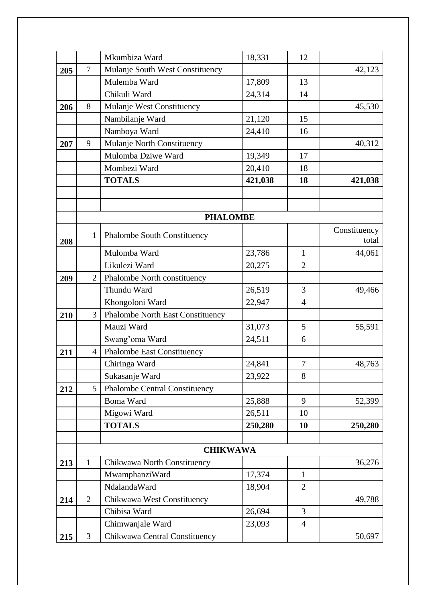|     |                | Mkumbiza Ward                           | 18,331  | 12             |              |
|-----|----------------|-----------------------------------------|---------|----------------|--------------|
| 205 | $\overline{7}$ | Mulanje South West Constituency         |         |                | 42,123       |
|     |                | Mulemba Ward                            | 17,809  | 13             |              |
|     |                | Chikuli Ward                            | 24,314  | 14             |              |
| 206 | 8              | Mulanje West Constituency               |         |                | 45,530       |
|     |                | Nambilanje Ward                         | 21,120  | 15             |              |
|     |                | Namboya Ward                            | 24,410  | 16             |              |
| 207 | 9              | Mulanje North Constituency              |         |                | 40,312       |
|     |                | Mulomba Dziwe Ward                      | 19,349  | 17             |              |
|     |                | Mombezi Ward                            | 20,410  | 18             |              |
|     |                | <b>TOTALS</b>                           | 421,038 | 18             | 421,038      |
|     |                |                                         |         |                |              |
|     |                |                                         |         |                |              |
|     |                | <b>PHALOMBE</b>                         |         |                |              |
|     | $\mathbf{1}$   | <b>Phalombe South Constituency</b>      |         |                | Constituency |
| 208 |                |                                         |         |                | total        |
|     |                | Mulomba Ward                            | 23,786  | $\mathbf{1}$   | 44,061       |
|     |                | Likulezi Ward                           | 20,275  | $\overline{2}$ |              |
| 209 | $\overline{2}$ | Phalombe North constituency             |         |                |              |
|     |                | Thundu Ward                             | 26,519  | 3              | 49,466       |
|     |                | Khongoloni Ward                         | 22,947  | $\overline{4}$ |              |
| 210 | 3              | <b>Phalombe North East Constituency</b> |         |                |              |
|     |                | Mauzi Ward                              | 31,073  | 5              | 55,591       |
|     |                | Swang'oma Ward                          | 24,511  | 6              |              |
| 211 | $\overline{4}$ | <b>Phalombe East Constituency</b>       |         |                |              |
|     |                | Chiringa Ward                           | 24,841  | $\tau$         | 48,763       |
|     |                | Sukasanje Ward                          | 23,922  | 8              |              |
| 212 | 5              | <b>Phalombe Central Constituency</b>    |         |                |              |
|     |                | <b>Boma Ward</b>                        | 25,888  | 9              | 52,399       |
|     |                | Migowi Ward                             | 26,511  | 10             |              |
|     |                | <b>TOTALS</b>                           | 250,280 | 10             | 250,280      |
|     |                |                                         |         |                |              |
|     |                | <b>CHIKWAWA</b>                         |         |                |              |
| 213 | 1              | Chikwawa North Constituency             |         |                | 36,276       |
|     |                | MwamphanziWard                          | 17,374  | 1              |              |
|     |                | NdalandaWard                            | 18,904  | $\overline{2}$ |              |
| 214 | $\overline{2}$ | Chikwawa West Constituency              |         |                | 49,788       |
|     |                | Chibisa Ward                            | 26,694  | $\overline{3}$ |              |
|     |                | Chimwanjale Ward                        | 23,093  | $\overline{4}$ |              |
| 215 | 3              | Chikwawa Central Constituency           |         |                | 50,697       |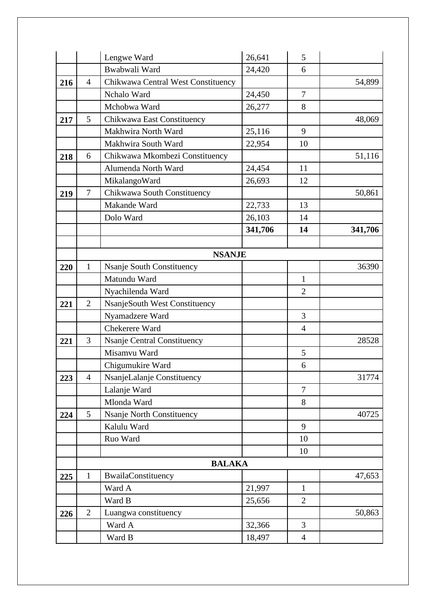|     |                | Lengwe Ward                        | 26,641  | 5              |         |
|-----|----------------|------------------------------------|---------|----------------|---------|
|     |                | Bwabwali Ward                      | 24,420  | 6              |         |
| 216 | $\overline{4}$ | Chikwawa Central West Constituency |         |                | 54,899  |
|     |                | Nchalo Ward                        | 24,450  | $\overline{7}$ |         |
|     |                | Mchobwa Ward                       | 26,277  | 8              |         |
| 217 | 5              | Chikwawa East Constituency         |         |                | 48,069  |
|     |                | Makhwira North Ward                | 25,116  | 9              |         |
|     |                | Makhwira South Ward                | 22,954  | 10             |         |
| 218 | 6              | Chikwawa Mkombezi Constituency     |         |                | 51,116  |
|     |                | Alumenda North Ward                | 24,454  | 11             |         |
|     |                | MikalangoWard                      | 26,693  | 12             |         |
| 219 | $\tau$         | Chikwawa South Constituency        |         |                | 50,861  |
|     |                | Makande Ward                       | 22,733  | 13             |         |
|     |                | Dolo Ward                          | 26,103  | 14             |         |
|     |                |                                    | 341,706 | 14             | 341,706 |
|     |                |                                    |         |                |         |
|     |                | <b>NSANJE</b>                      |         |                |         |
| 220 | 1              | <b>Nsanje South Constituency</b>   |         |                | 36390   |
|     |                | Matundu Ward                       |         | $\mathbf{1}$   |         |
|     |                | Nyachilenda Ward                   |         | $\overline{2}$ |         |
| 221 | $\overline{2}$ | NsanjeSouth West Constituency      |         |                |         |
|     |                | Nyamadzere Ward                    |         | 3              |         |
|     |                | Chekerere Ward                     |         | $\overline{4}$ |         |
| 221 | 3              | <b>Nsanje Central Constituency</b> |         |                | 28528   |
|     |                | Misamvu Ward                       |         | 5              |         |
|     |                | Chigumukire Ward                   |         | 6              |         |
| 223 | $\overline{4}$ | NsanjeLalanje Constituency         |         |                | 31774   |
|     |                | Lalanje Ward                       |         | $\overline{7}$ |         |
|     |                | Mlonda Ward                        |         | 8              |         |
| 224 | 5              | Nsanje North Constituency          |         |                | 40725   |
|     |                | Kalulu Ward                        |         | 9              |         |
|     |                | Ruo Ward                           |         | 10             |         |
|     |                |                                    |         | 10             |         |
|     |                | <b>BALAKA</b>                      |         |                |         |
| 225 | $\mathbf{1}$   | BwailaConstituency                 |         |                | 47,653  |
|     |                | Ward A                             | 21,997  | $\mathbf{1}$   |         |
|     |                | Ward B                             | 25,656  | $\overline{2}$ |         |
| 226 | $\overline{2}$ | Luangwa constituency               |         |                | 50,863  |
|     |                | Ward A                             | 32,366  | 3              |         |
|     |                | Ward B                             | 18,497  | $\overline{4}$ |         |